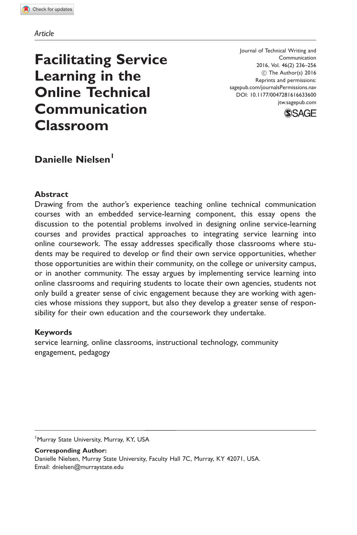#### Article

# Facilitating Service Learning in the Online Technical Communication Classroom

Journal of Technical Writing and Communication 2016, Vol. 46(2) 236–256  $\circledcirc$  The Author(s) 2016 Reprints and permissions: sagepub.com/journalsPermissions.nav DOI: 10.1177/0047281616633600 jtw.sagepub.com



# Danielle Nielsen<sup>1</sup>

#### Abstract

Drawing from the author's experience teaching online technical communication courses with an embedded service-learning component, this essay opens the discussion to the potential problems involved in designing online service-learning courses and provides practical approaches to integrating service learning into online coursework. The essay addresses specifically those classrooms where students may be required to develop or find their own service opportunities, whether those opportunities are within their community, on the college or university campus, or in another community. The essay argues by implementing service learning into online classrooms and requiring students to locate their own agencies, students not only build a greater sense of civic engagement because they are working with agencies whose missions they support, but also they develop a greater sense of responsibility for their own education and the coursework they undertake.

#### Keywords

service learning, online classrooms, instructional technology, community engagement, pedagogy

Corresponding Author:

Danielle Nielsen, Murray State University, Faculty Hall 7C, Murray, KY 42071, USA. Email: dnielsen@murraystate.edu

<sup>1</sup> Murray State University, Murray, KY, USA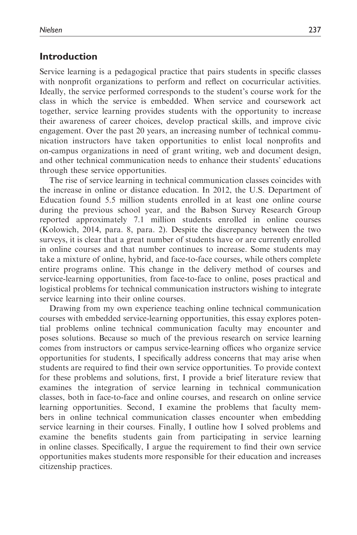## Introduction

Service learning is a pedagogical practice that pairs students in specific classes with nonprofit organizations to perform and reflect on cocurricular activities. Ideally, the service performed corresponds to the student's course work for the class in which the service is embedded. When service and coursework act together, service learning provides students with the opportunity to increase their awareness of career choices, develop practical skills, and improve civic engagement. Over the past 20 years, an increasing number of technical communication instructors have taken opportunities to enlist local nonprofits and on-campus organizations in need of grant writing, web and document design, and other technical communication needs to enhance their students' educations through these service opportunities.

The rise of service learning in technical communication classes coincides with the increase in online or distance education. In 2012, the U.S. Department of Education found 5.5 million students enrolled in at least one online course during the previous school year, and the Babson Survey Research Group reported approximately 7.1 million students enrolled in online courses (Kolowich, 2014, para. 8, para. 2). Despite the discrepancy between the two surveys, it is clear that a great number of students have or are currently enrolled in online courses and that number continues to increase. Some students may take a mixture of online, hybrid, and face-to-face courses, while others complete entire programs online. This change in the delivery method of courses and service-learning opportunities, from face-to-face to online, poses practical and logistical problems for technical communication instructors wishing to integrate service learning into their online courses.

Drawing from my own experience teaching online technical communication courses with embedded service-learning opportunities, this essay explores potential problems online technical communication faculty may encounter and poses solutions. Because so much of the previous research on service learning comes from instructors or campus service-learning offices who organize service opportunities for students, I specifically address concerns that may arise when students are required to find their own service opportunities. To provide context for these problems and solutions, first, I provide a brief literature review that examines the integration of service learning in technical communication classes, both in face-to-face and online courses, and research on online service learning opportunities. Second, I examine the problems that faculty members in online technical communication classes encounter when embedding service learning in their courses. Finally, I outline how I solved problems and examine the benefits students gain from participating in service learning in online classes. Specifically, I argue the requirement to find their own service opportunities makes students more responsible for their education and increases citizenship practices.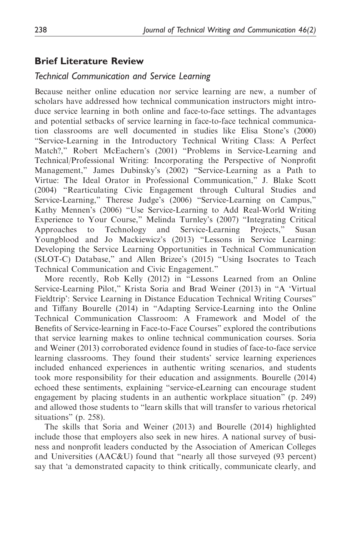# Brief Literature Review

## Technical Communication and Service Learning

Because neither online education nor service learning are new, a number of scholars have addressed how technical communication instructors might introduce service learning in both online and face-to-face settings. The advantages and potential setbacks of service learning in face-to-face technical communication classrooms are well documented in studies like Elisa Stone's (2000) "Service-Learning in the Introductory Technical Writing Class: A Perfect Match?," Robert McEachern's (2001) "Problems in Service-Learning and Technical/Professional Writing: Incorporating the Perspective of Nonprofit Management," James Dubinsky's (2002) "Service-Learning as a Path to Virtue: The Ideal Orator in Professional Communication," J. Blake Scott (2004) "Rearticulating Civic Engagement through Cultural Studies and Service-Learning," Therese Judge's (2006) "Service-Learning on Campus," Kathy Mennen's (2006) "Use Service-Learning to Add Real-World Writing Experience to Your Course," Melinda Turnley's (2007) "Integrating Critical Approaches to Technology and Service-Learning Projects," Susan Youngblood and Jo Mackiewicz's (2013) "Lessons in Service Learning: Developing the Service Learning Opportunities in Technical Communication (SLOT-C) Database," and Allen Brizee's (2015) "Using Isocrates to Teach Technical Communication and Civic Engagement."

More recently, Rob Kelly (2012) in "Lessons Learned from an Online Service-Learning Pilot," Krista Soria and Brad Weiner (2013) in "A 'Virtual Fieldtrip': Service Learning in Distance Education Technical Writing Courses" and Tiffany Bourelle (2014) in "Adapting Service-Learning into the Online Technical Communication Classroom: A Framework and Model of the Benefits of Service-learning in Face-to-Face Courses" explored the contributions that service learning makes to online technical communication courses. Soria and Weiner (2013) corroborated evidence found in studies of face-to-face service learning classrooms. They found their students' service learning experiences included enhanced experiences in authentic writing scenarios, and students took more responsibility for their education and assignments. Bourelle (2014) echoed these sentiments, explaining "service-eLearning can encourage student engagement by placing students in an authentic workplace situation" (p. 249) and allowed those students to "learn skills that will transfer to various rhetorical situations" (p. 258).

The skills that Soria and Weiner (2013) and Bourelle (2014) highlighted include those that employers also seek in new hires. A national survey of business and nonprofit leaders conducted by the Association of American Colleges and Universities (AAC&U) found that "nearly all those surveyed (93 percent) say that 'a demonstrated capacity to think critically, communicate clearly, and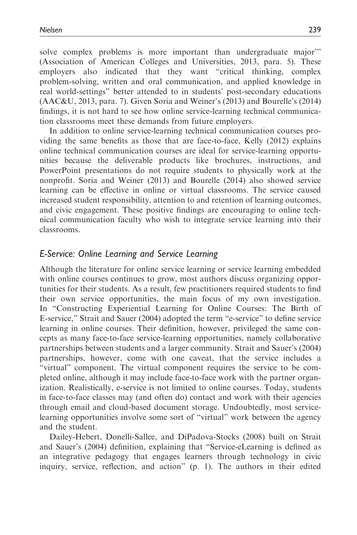solve complex problems is more important than undergraduate major'" (Association of American Colleges and Universities, 2013, para. 5). These employers also indicated that they want "critical thinking, complex problem-solving, written and oral communication, and applied knowledge in real world-settings" better attended to in students' post-secondary educations (AAC&U, 2013, para. 7). Given Soria and Weiner's (2013) and Bourelle's (2014) findings, it is not hard to see how online service-learning technical communication classrooms meet these demands from future employers.

In addition to online service-learning technical communication courses providing the same benefits as those that are face-to-face, Kelly (2012) explains online technical communication courses are ideal for service-learning opportunities because the deliverable products like brochures, instructions, and PowerPoint presentations do not require students to physically work at the nonprofit. Soria and Weiner (2013) and Bourelle (2014) also showed service learning can be effective in online or virtual classrooms. The service caused increased student responsibility, attention to and retention of learning outcomes, and civic engagement. These positive findings are encouraging to online technical communication faculty who wish to integrate service learning into their classrooms.

# E-Service: Online Learning and Service Learning

Although the literature for online service learning or service learning embedded with online courses continues to grow, most authors discuss organizing opportunities for their students. As a result, few practitioners required students to find their own service opportunities, the main focus of my own investigation. In "Constructing Experiential Learning for Online Courses: The Birth of E-service," Strait and Sauer (2004) adopted the term "e-service" to define service learning in online courses. Their definition, however, privileged the same concepts as many face-to-face service-learning opportunities, namely collaborative partnerships between students and a larger community. Strait and Sauer's (2004) partnerships, however, come with one caveat, that the service includes a "virtual" component. The virtual component requires the service to be completed online, although it may include face-to-face work with the partner organization. Realistically, e-service is not limited to online courses. Today, students in face-to-face classes may (and often do) contact and work with their agencies through email and cloud-based document storage. Undoubtedly, most servicelearning opportunities involve some sort of "virtual" work between the agency and the student.

Dailey-Hebert, Donelli-Sallee, and DiPadova-Stocks (2008) built on Strait and Sauer's (2004) definition, explaining that "Service-eLearning is defined as an integrative pedagogy that engages learners through technology in civic inquiry, service, reflection, and action" (p. 1). The authors in their edited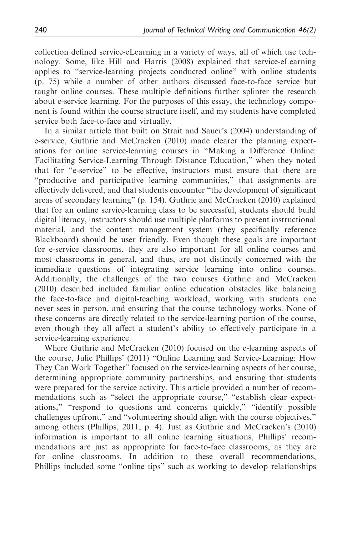collection defined service-eLearning in a variety of ways, all of which use technology. Some, like Hill and Harris (2008) explained that service-eLearning applies to "service-learning projects conducted online" with online students (p. 75) while a number of other authors discussed face-to-face service but taught online courses. These multiple definitions further splinter the research about e-service learning. For the purposes of this essay, the technology component is found within the course structure itself, and my students have completed service both face-to-face and virtually.

In a similar article that built on Strait and Sauer's (2004) understanding of e-service, Guthrie and McCracken (2010) made clearer the planning expectations for online service-learning courses in "Making a Difference Online: Facilitating Service-Learning Through Distance Education," when they noted that for "e-service" to be effective, instructors must ensure that there are "productive and participative learning communities," that assignments are effectively delivered, and that students encounter "the development of significant areas of secondary learning" (p. 154). Guthrie and McCracken (2010) explained that for an online service-learning class to be successful, students should build digital literacy, instructors should use multiple platforms to present instructional material, and the content management system (they specifically reference Blackboard) should be user friendly. Even though these goals are important for e-service classrooms, they are also important for all online courses and most classrooms in general, and thus, are not distinctly concerned with the immediate questions of integrating service learning into online courses. Additionally, the challenges of the two courses Guthrie and McCracken (2010) described included familiar online education obstacles like balancing the face-to-face and digital-teaching workload, working with students one never sees in person, and ensuring that the course technology works. None of these concerns are directly related to the service-learning portion of the course, even though they all affect a student's ability to effectively participate in a service-learning experience.

Where Guthrie and McCracken (2010) focused on the e-learning aspects of the course, Julie Phillips' (2011) "Online Learning and Service-Learning: How They Can Work Together" focused on the service-learning aspects of her course, determining appropriate community partnerships, and ensuring that students were prepared for the service activity. This article provided a number of recommendations such as "select the appropriate course," "establish clear expectations," "respond to questions and concerns quickly," "identify possible challenges upfront," and "volunteering should align with the course objectives," among others (Phillips, 2011, p. 4). Just as Guthrie and McCracken's (2010) information is important to all online learning situations, Phillips' recommendations are just as appropriate for face-to-face classrooms, as they are for online classrooms. In addition to these overall recommendations, Phillips included some "online tips" such as working to develop relationships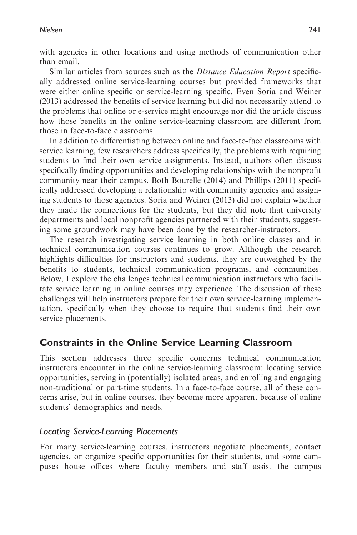with agencies in other locations and using methods of communication other than email.

Similar articles from sources such as the Distance Education Report specifically addressed online service-learning courses but provided frameworks that were either online specific or service-learning specific. Even Soria and Weiner (2013) addressed the benefits of service learning but did not necessarily attend to the problems that online or e-service might encourage nor did the article discuss how those benefits in the online service-learning classroom are different from those in face-to-face classrooms.

In addition to differentiating between online and face-to-face classrooms with service learning, few researchers address specifically, the problems with requiring students to find their own service assignments. Instead, authors often discuss specifically finding opportunities and developing relationships with the nonprofit community near their campus. Both Bourelle (2014) and Phillips (2011) specifically addressed developing a relationship with community agencies and assigning students to those agencies. Soria and Weiner (2013) did not explain whether they made the connections for the students, but they did note that university departments and local nonprofit agencies partnered with their students, suggesting some groundwork may have been done by the researcher-instructors.

The research investigating service learning in both online classes and in technical communication courses continues to grow. Although the research highlights difficulties for instructors and students, they are outweighed by the benefits to students, technical communication programs, and communities. Below, I explore the challenges technical communication instructors who facilitate service learning in online courses may experience. The discussion of these challenges will help instructors prepare for their own service-learning implementation, specifically when they choose to require that students find their own service placements.

## Constraints in the Online Service Learning Classroom

This section addresses three specific concerns technical communication instructors encounter in the online service-learning classroom: locating service opportunities, serving in (potentially) isolated areas, and enrolling and engaging non-traditional or part-time students. In a face-to-face course, all of these concerns arise, but in online courses, they become more apparent because of online students' demographics and needs.

## Locating Service-Learning Placements

For many service-learning courses, instructors negotiate placements, contact agencies, or organize specific opportunities for their students, and some campuses house offices where faculty members and staff assist the campus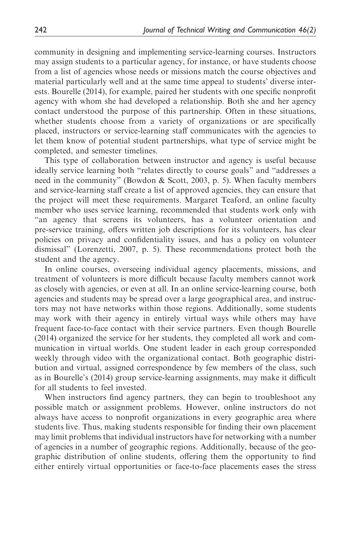community in designing and implementing service-learning courses. Instructors may assign students to a particular agency, for instance, or have students choose from a list of agencies whose needs or missions match the course objectives and material particularly well and at the same time appeal to students' diverse interests. Bourelle (2014), for example, paired her students with one specific nonprofit agency with whom she had developed a relationship. Both she and her agency contact understood the purpose of this partnership. Often in these situations, whether students choose from a variety of organizations or are specifically placed, instructors or service-learning staff communicates with the agencies to let them know of potential student partnerships, what type of service might be completed, and semester timelines.

This type of collaboration between instructor and agency is useful because ideally service learning both "relates directly to course goals" and "addresses a need in the community" (Bowdon & Scott, 2003, p. 5). When faculty members and service-learning staff create a list of approved agencies, they can ensure that the project will meet these requirements. Margaret Teaford, an online faculty member who uses service learning, recommended that students work only with "an agency that screens its volunteers, has a volunteer orientation and pre-service training, offers written job descriptions for its volunteers, has clear policies on privacy and confidentiality issues, and has a policy on volunteer dismissal" (Lorenzetti, 2007, p. 5). These recommendations protect both the student and the agency.

In online courses, overseeing individual agency placements, missions, and treatment of volunteers is more difficult because faculty members cannot work as closely with agencies, or even at all. In an online service-learning course, both agencies and students may be spread over a large geographical area, and instructors may not have networks within those regions. Additionally, some students may work with their agency in entirely virtual ways while others may have frequent face-to-face contact with their service partners. Even though Bourelle (2014) organized the service for her students, they completed all work and communication in virtual worlds. One student leader in each group corresponded weekly through video with the organizational contact. Both geographic distribution and virtual, assigned correspondence by few members of the class, such as in Bourelle's (2014) group service-learning assignments, may make it difficult for all students to feel invested.

When instructors find agency partners, they can begin to troubleshoot any possible match or assignment problems. However, online instructors do not always have access to nonprofit organizations in every geographic area where students live. Thus, making students responsible for finding their own placement may limit problems that individual instructors have for networking with a number of agencies in a number of geographic regions. Additionally, because of the geographic distribution of online students, offering them the opportunity to find either entirely virtual opportunities or face-to-face placements eases the stress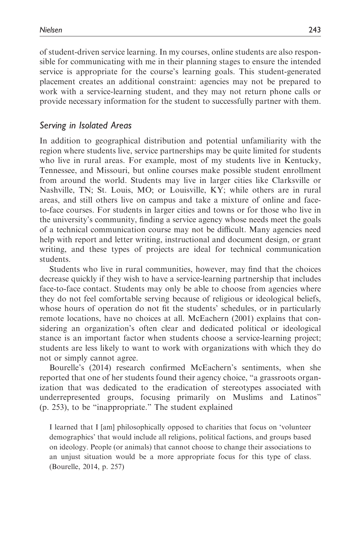of student-driven service learning. In my courses, online students are also responsible for communicating with me in their planning stages to ensure the intended service is appropriate for the course's learning goals. This student-generated placement creates an additional constraint: agencies may not be prepared to work with a service-learning student, and they may not return phone calls or provide necessary information for the student to successfully partner with them.

#### Serving in Isolated Areas

In addition to geographical distribution and potential unfamiliarity with the region where students live, service partnerships may be quite limited for students who live in rural areas. For example, most of my students live in Kentucky, Tennessee, and Missouri, but online courses make possible student enrollment from around the world. Students may live in larger cities like Clarksville or Nashville, TN; St. Louis, MO; or Louisville, KY; while others are in rural areas, and still others live on campus and take a mixture of online and faceto-face courses. For students in larger cities and towns or for those who live in the university's community, finding a service agency whose needs meet the goals of a technical communication course may not be difficult. Many agencies need help with report and letter writing, instructional and document design, or grant writing, and these types of projects are ideal for technical communication students.

Students who live in rural communities, however, may find that the choices decrease quickly if they wish to have a service-learning partnership that includes face-to-face contact. Students may only be able to choose from agencies where they do not feel comfortable serving because of religious or ideological beliefs, whose hours of operation do not fit the students' schedules, or in particularly remote locations, have no choices at all. McEachern (2001) explains that considering an organization's often clear and dedicated political or ideological stance is an important factor when students choose a service-learning project; students are less likely to want to work with organizations with which they do not or simply cannot agree.

Bourelle's (2014) research confirmed McEachern's sentiments, when she reported that one of her students found their agency choice, "a grassroots organization that was dedicated to the eradication of stereotypes associated with underrepresented groups, focusing primarily on Muslims and Latinos" (p. 253), to be "inappropriate." The student explained

I learned that I [am] philosophically opposed to charities that focus on 'volunteer demographics' that would include all religions, political factions, and groups based on ideology. People (or animals) that cannot choose to change their associations to an unjust situation would be a more appropriate focus for this type of class. (Bourelle, 2014, p. 257)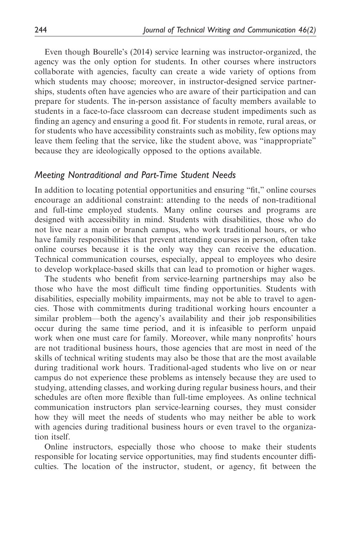Even though Bourelle's (2014) service learning was instructor-organized, the agency was the only option for students. In other courses where instructors collaborate with agencies, faculty can create a wide variety of options from which students may choose; moreover, in instructor-designed service partnerships, students often have agencies who are aware of their participation and can prepare for students. The in-person assistance of faculty members available to students in a face-to-face classroom can decrease student impediments such as finding an agency and ensuring a good fit. For students in remote, rural areas, or for students who have accessibility constraints such as mobility, few options may leave them feeling that the service, like the student above, was "inappropriate" because they are ideologically opposed to the options available.

#### Meeting Nontraditional and Part-Time Student Needs

In addition to locating potential opportunities and ensuring "fit," online courses encourage an additional constraint: attending to the needs of non-traditional and full-time employed students. Many online courses and programs are designed with accessibility in mind. Students with disabilities, those who do not live near a main or branch campus, who work traditional hours, or who have family responsibilities that prevent attending courses in person, often take online courses because it is the only way they can receive the education. Technical communication courses, especially, appeal to employees who desire to develop workplace-based skills that can lead to promotion or higher wages.

The students who benefit from service-learning partnerships may also be those who have the most difficult time finding opportunities. Students with disabilities, especially mobility impairments, may not be able to travel to agencies. Those with commitments during traditional working hours encounter a similar problem—both the agency's availability and their job responsibilities occur during the same time period, and it is infeasible to perform unpaid work when one must care for family. Moreover, while many nonprofits' hours are not traditional business hours, those agencies that are most in need of the skills of technical writing students may also be those that are the most available during traditional work hours. Traditional-aged students who live on or near campus do not experience these problems as intensely because they are used to studying, attending classes, and working during regular business hours, and their schedules are often more flexible than full-time employees. As online technical communication instructors plan service-learning courses, they must consider how they will meet the needs of students who may neither be able to work with agencies during traditional business hours or even travel to the organization itself.

Online instructors, especially those who choose to make their students responsible for locating service opportunities, may find students encounter difficulties. The location of the instructor, student, or agency, fit between the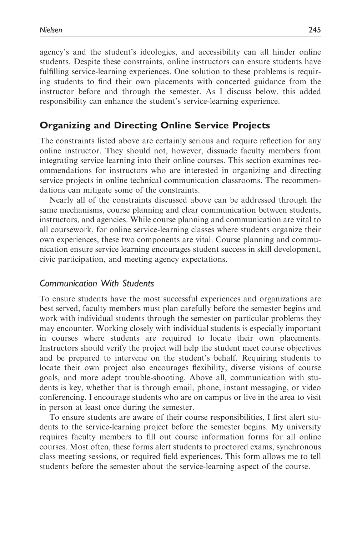agency's and the student's ideologies, and accessibility can all hinder online students. Despite these constraints, online instructors can ensure students have fulfilling service-learning experiences. One solution to these problems is requiring students to find their own placements with concerted guidance from the instructor before and through the semester. As I discuss below, this added responsibility can enhance the student's service-learning experience.

# Organizing and Directing Online Service Projects

The constraints listed above are certainly serious and require reflection for any online instructor. They should not, however, dissuade faculty members from integrating service learning into their online courses. This section examines recommendations for instructors who are interested in organizing and directing service projects in online technical communication classrooms. The recommendations can mitigate some of the constraints.

Nearly all of the constraints discussed above can be addressed through the same mechanisms, course planning and clear communication between students, instructors, and agencies. While course planning and communication are vital to all coursework, for online service-learning classes where students organize their own experiences, these two components are vital. Course planning and communication ensure service learning encourages student success in skill development, civic participation, and meeting agency expectations.

## Communication With Students

To ensure students have the most successful experiences and organizations are best served, faculty members must plan carefully before the semester begins and work with individual students through the semester on particular problems they may encounter. Working closely with individual students is especially important in courses where students are required to locate their own placements. Instructors should verify the project will help the student meet course objectives and be prepared to intervene on the student's behalf. Requiring students to locate their own project also encourages flexibility, diverse visions of course goals, and more adept trouble-shooting. Above all, communication with students is key, whether that is through email, phone, instant messaging, or video conferencing. I encourage students who are on campus or live in the area to visit in person at least once during the semester.

To ensure students are aware of their course responsibilities, I first alert students to the service-learning project before the semester begins. My university requires faculty members to fill out course information forms for all online courses. Most often, these forms alert students to proctored exams, synchronous class meeting sessions, or required field experiences. This form allows me to tell students before the semester about the service-learning aspect of the course.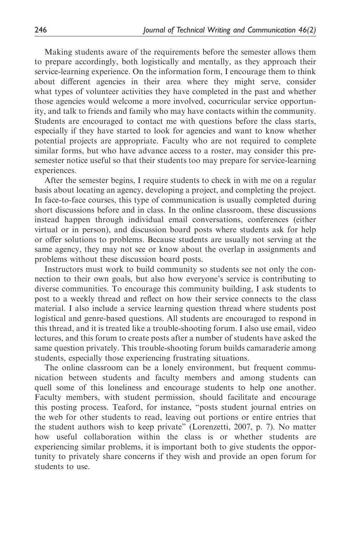Making students aware of the requirements before the semester allows them to prepare accordingly, both logistically and mentally, as they approach their service-learning experience. On the information form, I encourage them to think about different agencies in their area where they might serve, consider what types of volunteer activities they have completed in the past and whether those agencies would welcome a more involved, cocurricular service opportunity, and talk to friends and family who may have contacts within the community. Students are encouraged to contact me with questions before the class starts, especially if they have started to look for agencies and want to know whether potential projects are appropriate. Faculty who are not required to complete similar forms, but who have advance access to a roster, may consider this presemester notice useful so that their students too may prepare for service-learning experiences.

After the semester begins, I require students to check in with me on a regular basis about locating an agency, developing a project, and completing the project. In face-to-face courses, this type of communication is usually completed during short discussions before and in class. In the online classroom, these discussions instead happen through individual email conversations, conferences (either virtual or in person), and discussion board posts where students ask for help or offer solutions to problems. Because students are usually not serving at the same agency, they may not see or know about the overlap in assignments and problems without these discussion board posts.

Instructors must work to build community so students see not only the connection to their own goals, but also how everyone's service is contributing to diverse communities. To encourage this community building, I ask students to post to a weekly thread and reflect on how their service connects to the class material. I also include a service learning question thread where students post logistical and genre-based questions. All students are encouraged to respond in this thread, and it is treated like a trouble-shooting forum. I also use email, video lectures, and this forum to create posts after a number of students have asked the same question privately. This trouble-shooting forum builds camaraderie among students, especially those experiencing frustrating situations.

The online classroom can be a lonely environment, but frequent communication between students and faculty members and among students can quell some of this loneliness and encourage students to help one another. Faculty members, with student permission, should facilitate and encourage this posting process. Teaford, for instance, "posts student journal entries on the web for other students to read, leaving out portions or entire entries that the student authors wish to keep private" (Lorenzetti, 2007, p. 7). No matter how useful collaboration within the class is or whether students are experiencing similar problems, it is important both to give students the opportunity to privately share concerns if they wish and provide an open forum for students to use.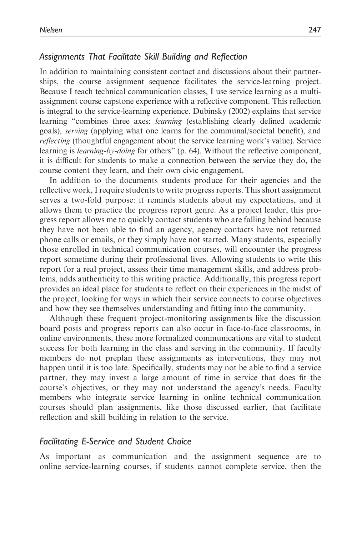## Assignments That Facilitate Skill Building and Reflection

In addition to maintaining consistent contact and discussions about their partnerships, the course assignment sequence facilitates the service-learning project. Because I teach technical communication classes, I use service learning as a multiassignment course capstone experience with a reflective component. This reflection is integral to the service-learning experience. Dubinsky (2002) explains that service learning "combines three axes: *learning* (establishing clearly defined academic goals), serving (applying what one learns for the communal/societal benefit), and reflecting (thoughtful engagement about the service learning work's value). Service learning is learning-by-doing for others" (p. 64). Without the reflective component, it is difficult for students to make a connection between the service they do, the course content they learn, and their own civic engagement.

In addition to the documents students produce for their agencies and the reflective work, I require students to write progress reports. This short assignment serves a two-fold purpose: it reminds students about my expectations, and it allows them to practice the progress report genre. As a project leader, this progress report allows me to quickly contact students who are falling behind because they have not been able to find an agency, agency contacts have not returned phone calls or emails, or they simply have not started. Many students, especially those enrolled in technical communication courses, will encounter the progress report sometime during their professional lives. Allowing students to write this report for a real project, assess their time management skills, and address problems, adds authenticity to this writing practice. Additionally, this progress report provides an ideal place for students to reflect on their experiences in the midst of the project, looking for ways in which their service connects to course objectives and how they see themselves understanding and fitting into the community.

Although these frequent project-monitoring assignments like the discussion board posts and progress reports can also occur in face-to-face classrooms, in online environments, these more formalized communications are vital to student success for both learning in the class and serving in the community. If faculty members do not preplan these assignments as interventions, they may not happen until it is too late. Specifically, students may not be able to find a service partner, they may invest a large amount of time in service that does fit the course's objectives, or they may not understand the agency's needs. Faculty members who integrate service learning in online technical communication courses should plan assignments, like those discussed earlier, that facilitate reflection and skill building in relation to the service.

#### Facilitating E-Service and Student Choice

As important as communication and the assignment sequence are to online service-learning courses, if students cannot complete service, then the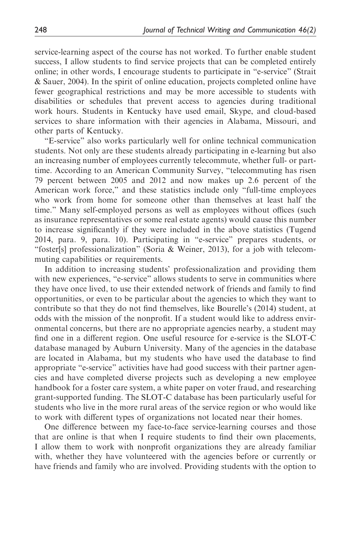service-learning aspect of the course has not worked. To further enable student success, I allow students to find service projects that can be completed entirely online; in other words, I encourage students to participate in "e-service" (Strait & Sauer, 2004). In the spirit of online education, projects completed online have fewer geographical restrictions and may be more accessible to students with disabilities or schedules that prevent access to agencies during traditional work hours. Students in Kentucky have used email, Skype, and cloud-based services to share information with their agencies in Alabama, Missouri, and other parts of Kentucky.

"E-service" also works particularly well for online technical communication students. Not only are these students already participating in e-learning but also an increasing number of employees currently telecommute, whether full- or parttime. According to an American Community Survey, "telecommuting has risen 79 percent between 2005 and 2012 and now makes up 2.6 percent of the American work force," and these statistics include only "full-time employees who work from home for someone other than themselves at least half the time." Many self-employed persons as well as employees without offices (such as insurance representatives or some real estate agents) would cause this number to increase significantly if they were included in the above statistics (Tugend 2014, para. 9, para. 10). Participating in "e-service" prepares students, or "foster[s] professionalization" (Soria & Weiner, 2013), for a job with telecommuting capabilities or requirements.

In addition to increasing students' professionalization and providing them with new experiences, "e-service" allows students to serve in communities where they have once lived, to use their extended network of friends and family to find opportunities, or even to be particular about the agencies to which they want to contribute so that they do not find themselves, like Bourelle's (2014) student, at odds with the mission of the nonprofit. If a student would like to address environmental concerns, but there are no appropriate agencies nearby, a student may find one in a different region. One useful resource for e-service is the SLOT-C database managed by Auburn University. Many of the agencies in the database are located in Alabama, but my students who have used the database to find appropriate "e-service" activities have had good success with their partner agencies and have completed diverse projects such as developing a new employee handbook for a foster care system, a white paper on voter fraud, and researching grant-supported funding. The SLOT-C database has been particularly useful for students who live in the more rural areas of the service region or who would like to work with different types of organizations not located near their homes.

One difference between my face-to-face service-learning courses and those that are online is that when I require students to find their own placements, I allow them to work with nonprofit organizations they are already familiar with, whether they have volunteered with the agencies before or currently or have friends and family who are involved. Providing students with the option to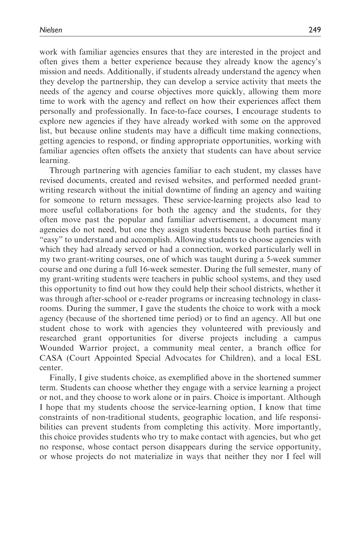work with familiar agencies ensures that they are interested in the project and often gives them a better experience because they already know the agency's mission and needs. Additionally, if students already understand the agency when they develop the partnership, they can develop a service activity that meets the needs of the agency and course objectives more quickly, allowing them more time to work with the agency and reflect on how their experiences affect them personally and professionally. In face-to-face courses, I encourage students to explore new agencies if they have already worked with some on the approved list, but because online students may have a difficult time making connections, getting agencies to respond, or finding appropriate opportunities, working with familiar agencies often offsets the anxiety that students can have about service learning.

Through partnering with agencies familiar to each student, my classes have revised documents, created and revised websites, and performed needed grantwriting research without the initial downtime of finding an agency and waiting for someone to return messages. These service-learning projects also lead to more useful collaborations for both the agency and the students, for they often move past the popular and familiar advertisement, a document many agencies do not need, but one they assign students because both parties find it "easy" to understand and accomplish. Allowing students to choose agencies with which they had already served or had a connection, worked particularly well in my two grant-writing courses, one of which was taught during a 5-week summer course and one during a full 16-week semester. During the full semester, many of my grant-writing students were teachers in public school systems, and they used this opportunity to find out how they could help their school districts, whether it was through after-school or e-reader programs or increasing technology in classrooms. During the summer, I gave the students the choice to work with a mock agency (because of the shortened time period) or to find an agency. All but one student chose to work with agencies they volunteered with previously and researched grant opportunities for diverse projects including a campus Wounded Warrior project, a community meal center, a branch office for CASA (Court Appointed Special Advocates for Children), and a local ESL center.

Finally, I give students choice, as exemplified above in the shortened summer term. Students can choose whether they engage with a service learning a project or not, and they choose to work alone or in pairs. Choice is important. Although I hope that my students choose the service-learning option, I know that time constraints of non-traditional students, geographic location, and life responsibilities can prevent students from completing this activity. More importantly, this choice provides students who try to make contact with agencies, but who get no response, whose contact person disappears during the service opportunity, or whose projects do not materialize in ways that neither they nor I feel will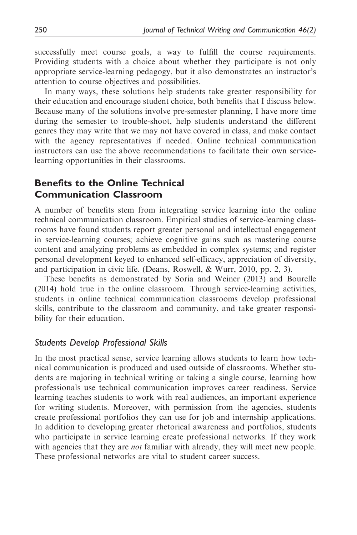successfully meet course goals, a way to fulfill the course requirements. Providing students with a choice about whether they participate is not only appropriate service-learning pedagogy, but it also demonstrates an instructor's attention to course objectives and possibilities.

In many ways, these solutions help students take greater responsibility for their education and encourage student choice, both benefits that I discuss below. Because many of the solutions involve pre-semester planning, I have more time during the semester to trouble-shoot, help students understand the different genres they may write that we may not have covered in class, and make contact with the agency representatives if needed. Online technical communication instructors can use the above recommendations to facilitate their own servicelearning opportunities in their classrooms.

# Benefits to the Online Technical Communication Classroom

A number of benefits stem from integrating service learning into the online technical communication classroom. Empirical studies of service-learning classrooms have found students report greater personal and intellectual engagement in service-learning courses; achieve cognitive gains such as mastering course content and analyzing problems as embedded in complex systems; and register personal development keyed to enhanced self-efficacy, appreciation of diversity, and participation in civic life. (Deans, Roswell, & Wurr, 2010, pp. 2, 3).

These benefits as demonstrated by Soria and Weiner (2013) and Bourelle (2014) hold true in the online classroom. Through service-learning activities, students in online technical communication classrooms develop professional skills, contribute to the classroom and community, and take greater responsibility for their education.

## Students Develop Professional Skills

In the most practical sense, service learning allows students to learn how technical communication is produced and used outside of classrooms. Whether students are majoring in technical writing or taking a single course, learning how professionals use technical communication improves career readiness. Service learning teaches students to work with real audiences, an important experience for writing students. Moreover, with permission from the agencies, students create professional portfolios they can use for job and internship applications. In addition to developing greater rhetorical awareness and portfolios, students who participate in service learning create professional networks. If they work with agencies that they are *not* familiar with already, they will meet new people. These professional networks are vital to student career success.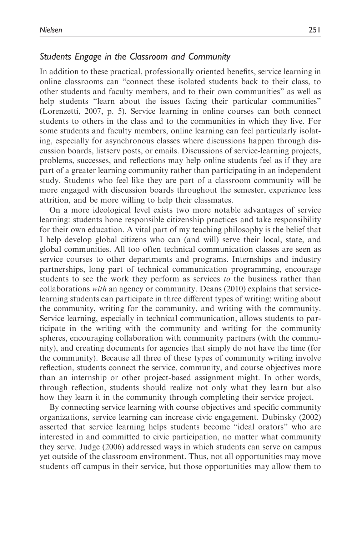#### Students Engage in the Classroom and Community

In addition to these practical, professionally oriented benefits, service learning in online classrooms can "connect these isolated students back to their class, to other students and faculty members, and to their own communities" as well as help students "learn about the issues facing their particular communities" (Lorenzetti, 2007, p. 5). Service learning in online courses can both connect students to others in the class and to the communities in which they live. For some students and faculty members, online learning can feel particularly isolating, especially for asynchronous classes where discussions happen through discussion boards, listserv posts, or emails. Discussions of service-learning projects, problems, successes, and reflections may help online students feel as if they are part of a greater learning community rather than participating in an independent study. Students who feel like they are part of a classroom community will be more engaged with discussion boards throughout the semester, experience less attrition, and be more willing to help their classmates.

On a more ideological level exists two more notable advantages of service learning: students hone responsible citizenship practices and take responsibility for their own education. A vital part of my teaching philosophy is the belief that I help develop global citizens who can (and will) serve their local, state, and global communities. All too often technical communication classes are seen as service courses to other departments and programs. Internships and industry partnerships, long part of technical communication programming, encourage students to see the work they perform as services to the business rather than collaborations with an agency or community. Deans (2010) explains that servicelearning students can participate in three different types of writing: writing about the community, writing for the community, and writing with the community. Service learning, especially in technical communication, allows students to participate in the writing with the community and writing for the community spheres, encouraging collaboration with community partners (with the community), and creating documents for agencies that simply do not have the time (for the community). Because all three of these types of community writing involve reflection, students connect the service, community, and course objectives more than an internship or other project-based assignment might. In other words, through reflection, students should realize not only what they learn but also how they learn it in the community through completing their service project.

By connecting service learning with course objectives and specific community organizations, service learning can increase civic engagement. Dubinsky (2002) asserted that service learning helps students become "ideal orators" who are interested in and committed to civic participation, no matter what community they serve. Judge (2006) addressed ways in which students can serve on campus yet outside of the classroom environment. Thus, not all opportunities may move students off campus in their service, but those opportunities may allow them to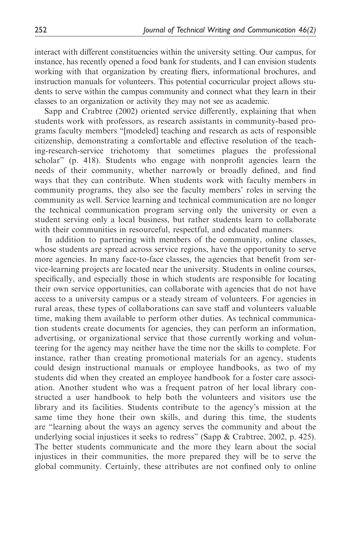interact with different constituencies within the university setting. Our campus, for instance, has recently opened a food bank for students, and I can envision students working with that organization by creating fliers, informational brochures, and instruction manuals for volunteers. This potential cocurricular project allows students to serve within the campus community and connect what they learn in their classes to an organization or activity they may not see as academic.

Sapp and Crabtree (2002) oriented service differently, explaining that when students work with professors, as research assistants in community-based programs faculty members "[modeled] teaching and research as acts of responsible citizenship, demonstrating a comfortable and effective resolution of the teaching-research-service trichotomy that sometimes plagues the professional scholar" (p. 418). Students who engage with nonprofit agencies learn the needs of their community, whether narrowly or broadly defined, and find ways that they can contribute. When students work with faculty members in community programs, they also see the faculty members' roles in serving the community as well. Service learning and technical communication are no longer the technical communication program serving only the university or even a student serving only a local business, but rather students learn to collaborate with their communities in resourceful, respectful, and educated manners.

In addition to partnering with members of the community, online classes, whose students are spread across service regions, have the opportunity to serve more agencies. In many face-to-face classes, the agencies that benefit from service-learning projects are located near the university. Students in online courses, specifically, and especially those in which students are responsible for locating their own service opportunities, can collaborate with agencies that do not have access to a university campus or a steady stream of volunteers. For agencies in rural areas, these types of collaborations can save staff and volunteers valuable time, making them available to perform other duties. As technical communication students create documents for agencies, they can perform an information, advertising, or organizational service that those currently working and volunteering for the agency may neither have the time nor the skills to complete. For instance, rather than creating promotional materials for an agency, students could design instructional manuals or employee handbooks, as two of my students did when they created an employee handbook for a foster care association. Another student who was a frequent patron of her local library constructed a user handbook to help both the volunteers and visitors use the library and its facilities. Students contribute to the agency's mission at the same time they hone their own skills, and during this time, the students are "learning about the ways an agency serves the community and about the underlying social injustices it seeks to redress" (Sapp & Crabtree, 2002, p. 425). The better students communicate and the more they learn about the social injustices in their communities, the more prepared they will be to serve the global community. Certainly, these attributes are not confined only to online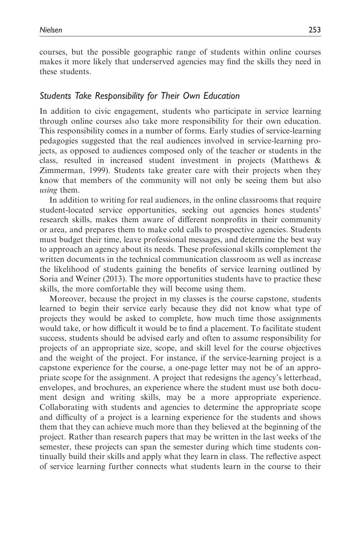courses, but the possible geographic range of students within online courses makes it more likely that underserved agencies may find the skills they need in these students.

## Students Take Responsibility for Their Own Education

In addition to civic engagement, students who participate in service learning through online courses also take more responsibility for their own education. This responsibility comes in a number of forms. Early studies of service-learning pedagogies suggested that the real audiences involved in service-learning projects, as opposed to audiences composed only of the teacher or students in the class, resulted in increased student investment in projects (Matthews & Zimmerman, 1999). Students take greater care with their projects when they know that members of the community will not only be seeing them but also using them.

In addition to writing for real audiences, in the online classrooms that require student-located service opportunities, seeking out agencies hones students' research skills, makes them aware of different nonprofits in their community or area, and prepares them to make cold calls to prospective agencies. Students must budget their time, leave professional messages, and determine the best way to approach an agency about its needs. These professional skills complement the written documents in the technical communication classroom as well as increase the likelihood of students gaining the benefits of service learning outlined by Soria and Weiner (2013). The more opportunities students have to practice these skills, the more comfortable they will become using them.

Moreover, because the project in my classes is the course capstone, students learned to begin their service early because they did not know what type of projects they would be asked to complete, how much time those assignments would take, or how difficult it would be to find a placement. To facilitate student success, students should be advised early and often to assume responsibility for projects of an appropriate size, scope, and skill level for the course objectives and the weight of the project. For instance, if the service-learning project is a capstone experience for the course, a one-page letter may not be of an appropriate scope for the assignment. A project that redesigns the agency's letterhead, envelopes, and brochures, an experience where the student must use both document design and writing skills, may be a more appropriate experience. Collaborating with students and agencies to determine the appropriate scope and difficulty of a project is a learning experience for the students and shows them that they can achieve much more than they believed at the beginning of the project. Rather than research papers that may be written in the last weeks of the semester, these projects can span the semester during which time students continually build their skills and apply what they learn in class. The reflective aspect of service learning further connects what students learn in the course to their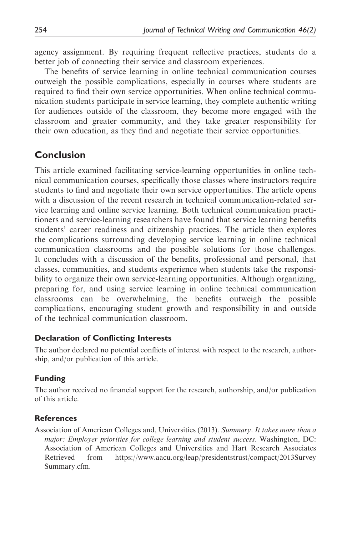agency assignment. By requiring frequent reflective practices, students do a better job of connecting their service and classroom experiences.

The benefits of service learning in online technical communication courses outweigh the possible complications, especially in courses where students are required to find their own service opportunities. When online technical communication students participate in service learning, they complete authentic writing for audiences outside of the classroom, they become more engaged with the classroom and greater community, and they take greater responsibility for their own education, as they find and negotiate their service opportunities.

# Conclusion

This article examined facilitating service-learning opportunities in online technical communication courses, specifically those classes where instructors require students to find and negotiate their own service opportunities. The article opens with a discussion of the recent research in technical communication-related service learning and online service learning. Both technical communication practitioners and service-learning researchers have found that service learning benefits students' career readiness and citizenship practices. The article then explores the complications surrounding developing service learning in online technical communication classrooms and the possible solutions for those challenges. It concludes with a discussion of the benefits, professional and personal, that classes, communities, and students experience when students take the responsibility to organize their own service-learning opportunities. Although organizing, preparing for, and using service learning in online technical communication classrooms can be overwhelming, the benefits outweigh the possible complications, encouraging student growth and responsibility in and outside of the technical communication classroom.

## Declaration of Conflicting Interests

The author declared no potential conflicts of interest with respect to the research, authorship, and/or publication of this article.

## Funding

The author received no financial support for the research, authorship, and/or publication of this article.

## **References**

Association of American Colleges and, Universities (2013). Summary. It takes more than a major: Employer priorities for college learning and student success. Washington, DC: Association of American Colleges and Universities and Hart Research Associates Retrieved from https://www.aacu.org/leap/presidentstrust/compact/2013Survey Summary.cfm.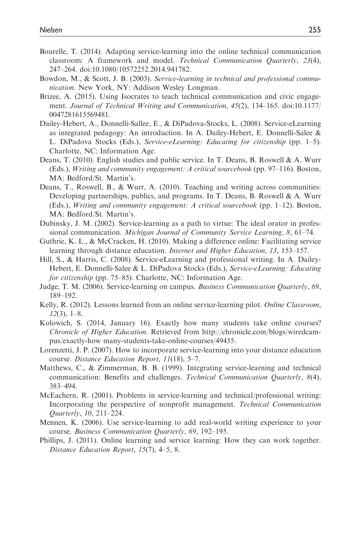- Bourelle, T. (2014). Adapting service-learning into the online technical communication classroom: A framework and model. Technical Communication Quarterly, 23(4), 247–264. doi:10.1080/10572252.2014.941782.
- Bowdon, M., & Scott, J. B. (2003). Service-learning in technical and professional communication. New York, NY: Addison Wesley Longman.
- Brizee, A. (2015). Using Isocrates to teach technical communication and civic engagement. Journal of Technical Writing and Communication, 45(2), 134–165. doi:10.1177/ 0047281615569481.
- Dailey-Hebert, A., Donnelli-Sallee, E., & DiPadova-Stocks, L. (2008). Service-eLearning as integrated pedagogy: An introduction. In A. Dailey-Hebert, E. Donnelli-Salee & L. DiPadova Stocks (Eds.), Service-eLearning: Educating for citizenship (pp. 1–5). Charlotte, NC: Information Age.
- Deans, T. (2010). English studies and public service. In T. Deans, B. Roswell & A. Wurr (Eds.), Writing and community engagement: A critical sourcebook (pp. 97–116). Boston, MA: Bedford/St. Martin's.
- Deans, T., Roswell, B., & Wurr, A. (2010). Teaching and writing across communities: Developing partnerships, publics, and programs. In T. Deans, B. Roswell & A. Wurr (Eds.), Writing and community engagement: A critical sourcebook (pp.  $1-12$ ). Boston, MA: Bedford/St. Martin's.
- Dubinsky, J. M. (2002). Service-learning as a path to virtue: The ideal orator in professional communication. Michigan Journal of Community Service Learning, 8, 61-74.
- Guthrie, K. L., & McCracken, H. (2010). Making a difference online: Facilitating service learning through distance education. Internet and Higher Education, 13, 153–157.
- Hill, S., & Harris, C. (2008). Service-eLearning and professional writing. In A. Dailey-Hebert, E. Donnelli-Salee & L. DiPadova Stocks (Eds.), Service-eLearning: Educating for citizenship (pp. 75–85). Charlotte, NC: Information Age.
- Judge, T. M. (2006). Service-learning on campus. Business Communication Quarterly, 69, 189–192.
- Kelly, R. (2012). Lessons learned from an online service-learning pilot. *Online Classroom*,  $12(3)$ , 1–8.
- Kolowich, S. (2014, January 16). Exactly how many students take online courses? Chronicle of Higher Education. Retrieved from http://chronicle.com/blogs/wiredcampus/exactly-how many-students-take-online-courses/49455.
- Lorenzetti, J. P. (2007). How to incorporate service-learning into your distance education course. Distance Education Report, 11(18), 5–7.
- Matthews, C., & Zimmerman, B. B. (1999). Integrating service-learning and technical communication: Benefits and challenges. Technical Communication Quarterly, 8(4), 383–494.
- McEachern, R. (2001). Problems in service-learning and technical/professional writing: Incorporating the perspective of nonprofit management. Technical Communication Quarterly, 10, 211–224.
- Mennen, K. (2006). Use service-learning to add real-world writing experience to your course. Business Communication Quarterly, 69, 192–195.
- Phillips, J. (2011). Online learning and service learning: How they can work together. Distance Education Report, 15(7), 4–5, 8.